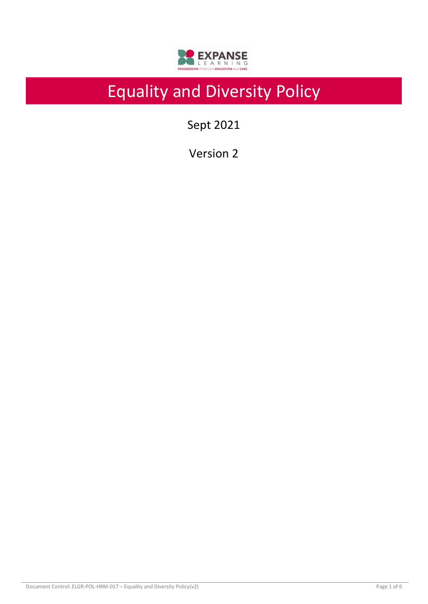

# Equality and Diversity Policy

Sept 2021

Version 2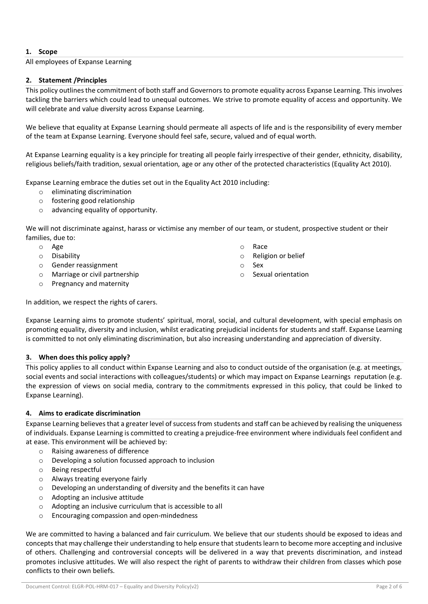# **1. Scope**

## All employees of Expanse Learning

## **2. Statement /Principles**

This policy outlines the commitment of both staff and Governors to promote equality across Expanse Learning. This involves tackling the barriers which could lead to unequal outcomes. We strive to promote equality of access and opportunity. We will celebrate and value diversity across Expanse Learning.

We believe that equality at Expanse Learning should permeate all aspects of life and is the responsibility of every member of the team at Expanse Learning. Everyone should feel safe, secure, valued and of equal worth.

At Expanse Learning equality is a key principle for treating all people fairly irrespective of their gender, ethnicity, disability, religious beliefs/faith tradition, sexual orientation, age or any other of the protected characteristics (Equality Act 2010).

Expanse Learning embrace the duties set out in the Equality Act 2010 including:

- o eliminating discrimination
- o fostering good relationship
- o advancing equality of opportunity.

We will not discriminate against, harass or victimise any member of our team, or student, prospective student or their families, due to:

- o Age
- o Disability
- o Gender reassignment
- o Marriage or civil partnership
- o Pregnancy and maternity
- o Race
- o Religion or belief
- o Sex
- o Sexual orientation

In addition, we respect the rights of carers.

Expanse Learning aims to promote students' spiritual, moral, social, and cultural development, with special emphasis on promoting equality, diversity and inclusion, whilst eradicating prejudicial incidents for students and staff. Expanse Learning is committed to not only eliminating discrimination, but also increasing understanding and appreciation of diversity.

#### **3. When does this policy apply?**

This policy applies to all conduct within Expanse Learning and also to conduct outside of the organisation (e.g. at meetings, social events and social interactions with colleagues/students) or which may impact on Expanse Learnings reputation (e.g. the expression of views on social media, contrary to the commitments expressed in this policy, that could be linked to Expanse Learning).

# **4. Aims to eradicate discrimination**

Expanse Learning believes that a greater level of success from students and staff can be achieved by realising the uniqueness of individuals. Expanse Learning is committed to creating a prejudice-free environment where individuals feel confident and at ease. This environment will be achieved by:

- o Raising awareness of difference
	- o Developing a solution focussed approach to inclusion
	- o Being respectful
	- o Always treating everyone fairly
	- o Developing an understanding of diversity and the benefits it can have
	- o Adopting an inclusive attitude
	- o Adopting an inclusive curriculum that is accessible to all
	- o Encouraging compassion and open-mindedness

We are committed to having a balanced and fair curriculum. We believe that our students should be exposed to ideas and concepts that may challenge their understanding to help ensure that students learn to become more accepting and inclusive of others. Challenging and controversial concepts will be delivered in a way that prevents discrimination, and instead promotes inclusive attitudes. We will also respect the right of parents to withdraw their children from classes which pose conflicts to their own beliefs.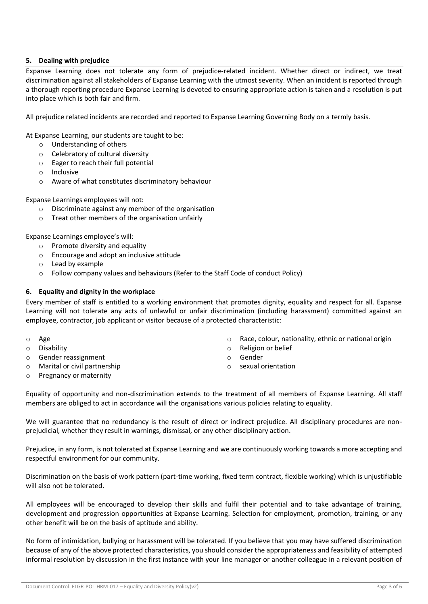# **5. Dealing with prejudice**

Expanse Learning does not tolerate any form of prejudice-related incident. Whether direct or indirect, we treat discrimination against all stakeholders of Expanse Learning with the utmost severity. When an incident is reported through a thorough reporting procedure Expanse Learning is devoted to ensuring appropriate action is taken and a resolution is put into place which is both fair and firm.

All prejudice related incidents are recorded and reported to Expanse Learning Governing Body on a termly basis.

At Expanse Learning, our students are taught to be:

- o Understanding of others
- o Celebratory of cultural diversity
- o Eager to reach their full potential
- o Inclusive
- o Aware of what constitutes discriminatory behaviour

Expanse Learnings employees will not:

- o Discriminate against any member of the organisation
- o Treat other members of the organisation unfairly

Expanse Learnings employee's will:

- o Promote diversity and equality
- o Encourage and adopt an inclusive attitude
- o Lead by example
- o Follow company values and behaviours (Refer to the Staff Code of conduct Policy)

## **6. Equality and dignity in the workplace**

Every member of staff is entitled to a working environment that promotes dignity, equality and respect for all. Expanse Learning will not tolerate any acts of unlawful or unfair discrimination (including harassment) committed against an employee, contractor, job applicant or visitor because of a protected characteristic:

- o Age
- o Disability
- o Gender reassignment
- o Marital or civil partnership
- o Pregnancy or maternity
- o Race, colour, nationality, ethnic or national origin
- o Religion or belief
- o Gender
- o sexual orientation

Equality of opportunity and non-discrimination extends to the treatment of all members of Expanse Learning. All staff members are obliged to act in accordance will the organisations various policies relating to equality.

We will guarantee that no redundancy is the result of direct or indirect prejudice. All disciplinary procedures are nonprejudicial, whether they result in warnings, dismissal, or any other disciplinary action.

Prejudice, in any form, is not tolerated at Expanse Learning and we are continuously working towards a more accepting and respectful environment for our community.

Discrimination on the basis of work pattern (part-time working, fixed term contract, flexible working) which is unjustifiable will also not be tolerated.

All employees will be encouraged to develop their skills and fulfil their potential and to take advantage of training, development and progression opportunities at Expanse Learning. Selection for employment, promotion, training, or any other benefit will be on the basis of aptitude and ability.

No form of intimidation, bullying or harassment will be tolerated. If you believe that you may have suffered discrimination because of any of the above protected characteristics, you should consider the appropriateness and feasibility of attempted informal resolution by discussion in the first instance with your line manager or another colleague in a relevant position of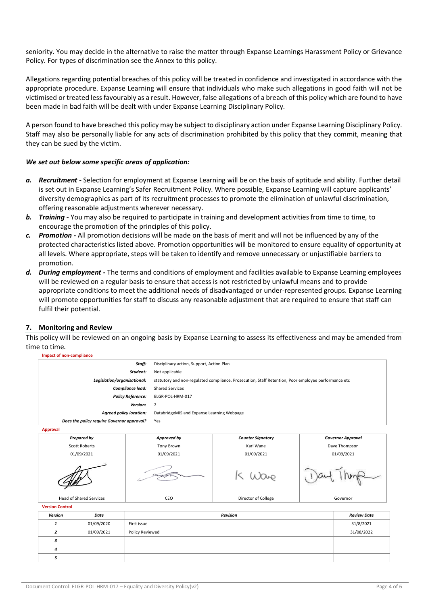seniority. You may decide in the alternative to raise the matter through Expanse Learnings Harassment Policy or Grievance Policy. For types of discrimination see the Annex to this policy.

Allegations regarding potential breaches of this policy will be treated in confidence and investigated in accordance with the appropriate procedure. Expanse Learning will ensure that individuals who make such allegations in good faith will not be victimised or treated less favourably as a result. However, false allegations of a breach of this policy which are found to have been made in bad faith will be dealt with under Expanse Learning Disciplinary Policy.

A person found to have breached this policy may be subject to disciplinary action under Expanse Learning Disciplinary Policy. Staff may also be personally liable for any acts of discrimination prohibited by this policy that they commit, meaning that they can be sued by the victim.

## *We set out below some specific areas of application:*

- *a. Recruitment -* Selection for employment at Expanse Learning will be on the basis of aptitude and ability. Further detail is set out in Expanse Learning's Safer Recruitment Policy. Where possible, Expanse Learning will capture applicants' diversity demographics as part of its recruitment processes to promote the elimination of unlawful discrimination, offering reasonable adjustments wherever necessary.
- **b.** *Training* You may also be required to participate in training and development activities from time to time, to encourage the promotion of the principles of this policy.
- *c. Promotion -* All promotion decisions will be made on the basis of merit and will not be influenced by any of the protected characteristics listed above. Promotion opportunities will be monitored to ensure equality of opportunity at all levels. Where appropriate, steps will be taken to identify and remove unnecessary or unjustifiable barriers to promotion.
- *d. During employment -* The terms and conditions of employment and facilities available to Expanse Learning employees will be reviewed on a regular basis to ensure that access is not restricted by unlawful means and to provide appropriate conditions to meet the additional needs of disadvantaged or under-represented groups. Expanse Learning will promote opportunities for staff to discuss any reasonable adjustment that are required to ensure that staff can fulfil their potential.

#### **7. Monitoring and Review**

This policy will be reviewed on an ongoing basis by Expanse Learning to assess its effectiveness and may be amended from time to time.

**Impact of non-compliance**

*5*

| Staff:                                        |                    |                                                                                                     | Disciplinary action, Support, Action Plan |                          |               |                          |
|-----------------------------------------------|--------------------|-----------------------------------------------------------------------------------------------------|-------------------------------------------|--------------------------|---------------|--------------------------|
| Student:                                      |                    |                                                                                                     | Not applicable                            |                          |               |                          |
| Legislation/organisational:                   |                    | statutory and non-regulated compliance. Prosecution, Staff Retention, Poor employee performance etc |                                           |                          |               |                          |
| Compliance lead:                              |                    | <b>Shared Services</b>                                                                              |                                           |                          |               |                          |
| <b>Policy Reference:</b>                      |                    | ELGR-POL-HRM-017                                                                                    |                                           |                          |               |                          |
| Version:                                      |                    | 2                                                                                                   |                                           |                          |               |                          |
| <b>Agreed policy location:</b>                |                    | DatabridgeMIS and Expanse Learning Webpage                                                          |                                           |                          |               |                          |
| Does the policy require Governor approval?    |                    |                                                                                                     | Yes                                       |                          |               |                          |
| <b>Approval</b>                               |                    |                                                                                                     |                                           |                          |               |                          |
|                                               | <b>Prepared by</b> |                                                                                                     | Approved by                               | <b>Counter Signatory</b> |               | <b>Governor Approval</b> |
| <b>Scott Roberts</b>                          |                    | Tony Brown                                                                                          |                                           | Karl Wane                | Dave Thompson |                          |
| 01/09/2021                                    |                    | 01/09/2021                                                                                          |                                           | 01/09/2021               | 01/09/2021    |                          |
|                                               |                    |                                                                                                     |                                           |                          |               |                          |
| <b>Head of Shared Services</b>                |                    |                                                                                                     | CEO                                       | Director of College      | Governor      |                          |
| <b>Version Control</b>                        |                    |                                                                                                     |                                           |                          |               |                          |
| Version                                       | Date               |                                                                                                     | <b>Revision</b>                           |                          |               | <b>Review Date</b>       |
| $\mathbf{1}$                                  | 01/09/2020         | First issue                                                                                         |                                           |                          |               | 31/8/2021                |
| 01/09/2021<br>$\mathbf{z}$<br>Policy Reviewed |                    |                                                                                                     |                                           |                          | 31/08/2022    |                          |
| 3                                             |                    |                                                                                                     |                                           |                          |               |                          |
| 4                                             |                    |                                                                                                     |                                           |                          |               |                          |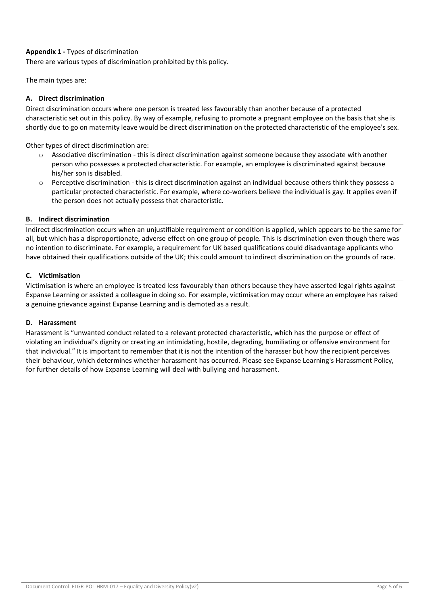# **Appendix 1 -** Types of discrimination

There are various types of discrimination prohibited by this policy.

The main types are:

## **A. Direct discrimination**

Direct discrimination occurs where one person is treated less favourably than another because of a protected characteristic set out in this policy. By way of example, refusing to promote a pregnant employee on the basis that she is shortly due to go on maternity leave would be direct discrimination on the protected characteristic of the employee's sex.

Other types of direct discrimination are:

- $\circ$  Associative discrimination this is direct discrimination against someone because they associate with another person who possesses a protected characteristic. For example, an employee is discriminated against because his/her son is disabled.
- o Perceptive discrimination this is direct discrimination against an individual because others think they possess a particular protected characteristic. For example, where co-workers believe the individual is gay. It applies even if the person does not actually possess that characteristic.

#### **B. Indirect discrimination**

Indirect discrimination occurs when an unjustifiable requirement or condition is applied, which appears to be the same for all, but which has a disproportionate, adverse effect on one group of people. This is discrimination even though there was no intention to discriminate. For example, a requirement for UK based qualifications could disadvantage applicants who have obtained their qualifications outside of the UK; this could amount to indirect discrimination on the grounds of race.

#### **C. Victimisation**

Victimisation is where an employee is treated less favourably than others because they have asserted legal rights against Expanse Learning or assisted a colleague in doing so. For example, victimisation may occur where an employee has raised a genuine grievance against Expanse Learning and is demoted as a result.

#### **D. Harassment**

Harassment is "unwanted conduct related to a relevant protected characteristic, which has the purpose or effect of violating an individual's dignity or creating an intimidating, hostile, degrading, humiliating or offensive environment for that individual." It is important to remember that it is not the intention of the harasser but how the recipient perceives their behaviour, which determines whether harassment has occurred. Please see Expanse Learning's Harassment Policy, for further details of how Expanse Learning will deal with bullying and harassment.